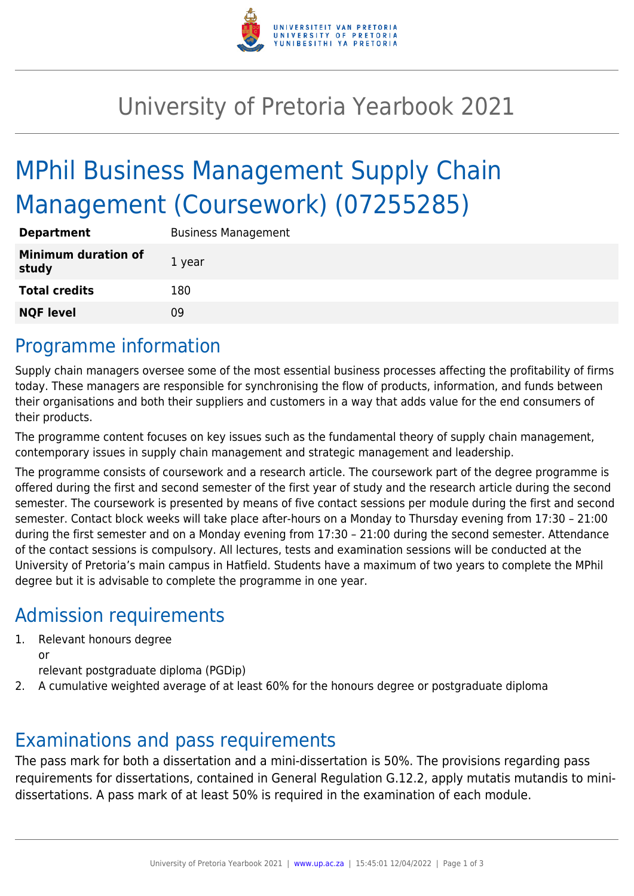

# University of Pretoria Yearbook 2021

# MPhil Business Management Supply Chain Management (Coursework) (07255285)

| <b>Department</b>                   | <b>Business Management</b> |
|-------------------------------------|----------------------------|
| <b>Minimum duration of</b><br>study | 1 year                     |
| <b>Total credits</b>                | 180                        |
| <b>NQF level</b>                    | Ωd                         |

## Programme information

Supply chain managers oversee some of the most essential business processes affecting the profitability of firms today. These managers are responsible for synchronising the flow of products, information, and funds between their organisations and both their suppliers and customers in a way that adds value for the end consumers of their products.

The programme content focuses on key issues such as the fundamental theory of supply chain management, contemporary issues in supply chain management and strategic management and leadership.

The programme consists of coursework and a research article. The coursework part of the degree programme is offered during the first and second semester of the first year of study and the research article during the second semester. The coursework is presented by means of five contact sessions per module during the first and second semester. Contact block weeks will take place after-hours on a Monday to Thursday evening from 17:30 – 21:00 during the first semester and on a Monday evening from 17:30 – 21:00 during the second semester. Attendance of the contact sessions is compulsory. All lectures, tests and examination sessions will be conducted at the University of Pretoria's main campus in Hatfield. Students have a maximum of two years to complete the MPhil degree but it is advisable to complete the programme in one year.

## Admission requirements

- 1. Relevant honours degree or
	- relevant postgraduate diploma (PGDip)
- 2. A cumulative weighted average of at least 60% for the honours degree or postgraduate diploma

### Examinations and pass requirements

The pass mark for both a dissertation and a mini-dissertation is 50%. The provisions regarding pass requirements for dissertations, contained in General Regulation G.12.2, apply mutatis mutandis to minidissertations. A pass mark of at least 50% is required in the examination of each module.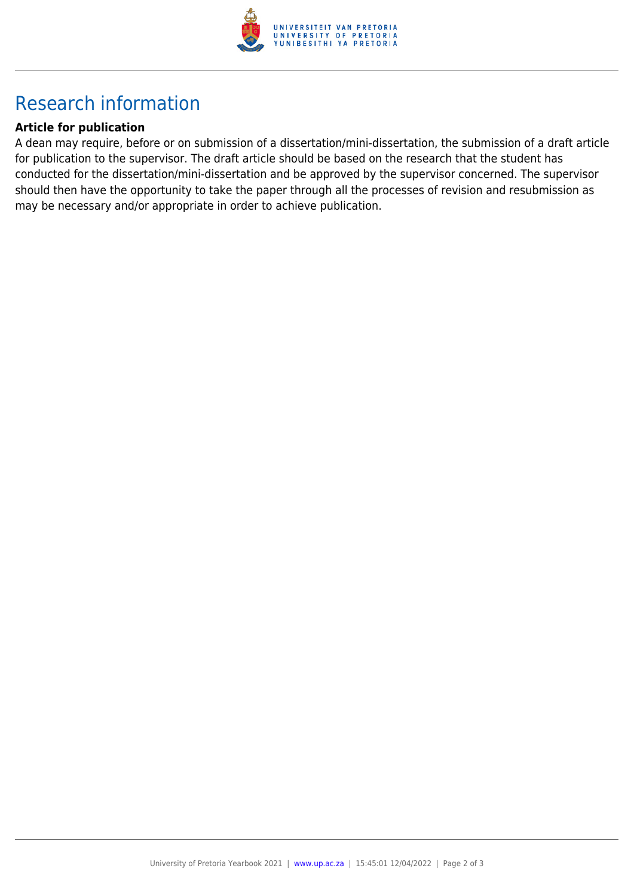

# Research information

#### **Article for publication**

A dean may require, before or on submission of a dissertation/mini-dissertation, the submission of a draft article for publication to the supervisor. The draft article should be based on the research that the student has conducted for the dissertation/mini-dissertation and be approved by the supervisor concerned. The supervisor should then have the opportunity to take the paper through all the processes of revision and resubmission as may be necessary and/or appropriate in order to achieve publication.